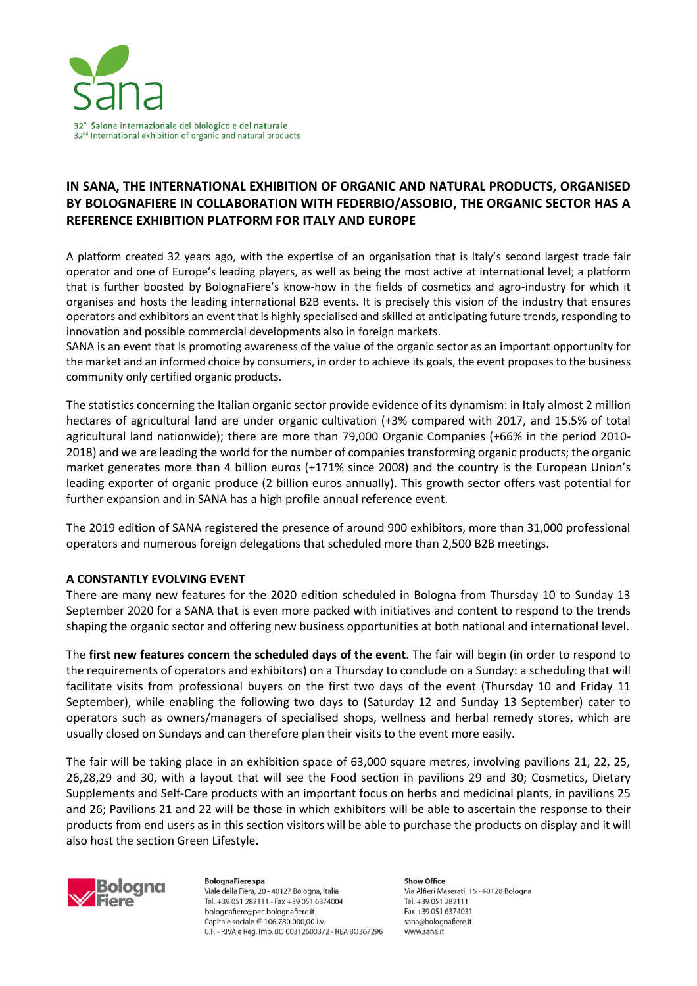

# **IN SANA, THE INTERNATIONAL EXHIBITION OF ORGANIC AND NATURAL PRODUCTS, ORGANISED BY BOLOGNAFIERE IN COLLABORATION WITH FEDERBIO/ASSOBIO, THE ORGANIC SECTOR HAS A REFERENCE EXHIBITION PLATFORM FOR ITALY AND EUROPE**

A platform created 32 years ago, with the expertise of an organisation that is Italy's second largest trade fair operator and one of Europe's leading players, as well as being the most active at international level; a platform that is further boosted by BolognaFiere's know-how in the fields of cosmetics and agro-industry for which it organises and hosts the leading international B2B events. It is precisely this vision of the industry that ensures operators and exhibitors an event that is highly specialised and skilled at anticipating future trends, responding to innovation and possible commercial developments also in foreign markets.

SANA is an event that is promoting awareness of the value of the organic sector as an important opportunity for the market and an informed choice by consumers, in order to achieve its goals, the event proposesto the business community only certified organic products.

The statistics concerning the Italian organic sector provide evidence of its dynamism: in Italy almost 2 million hectares of agricultural land are under organic cultivation (+3% compared with 2017, and 15.5% of total agricultural land nationwide); there are more than 79,000 Organic Companies (+66% in the period 2010- 2018) and we are leading the world for the number of companies transforming organic products; the organic market generates more than 4 billion euros (+171% since 2008) and the country is the European Union's leading exporter of organic produce (2 billion euros annually). This growth sector offers vast potential for further expansion and in SANA has a high profile annual reference event.

The 2019 edition of SANA registered the presence of around 900 exhibitors, more than 31,000 professional operators and numerous foreign delegations that scheduled more than 2,500 B2B meetings.

## **A CONSTANTLY EVOLVING EVENT**

There are many new features for the 2020 edition scheduled in Bologna from Thursday 10 to Sunday 13 September 2020 for a SANA that is even more packed with initiatives and content to respond to the trends shaping the organic sector and offering new business opportunities at both national and international level.

The **first new features concern the scheduled days of the event**. The fair will begin (in order to respond to the requirements of operators and exhibitors) on a Thursday to conclude on a Sunday: a scheduling that will facilitate visits from professional buyers on the first two days of the event (Thursday 10 and Friday 11 September), while enabling the following two days to (Saturday 12 and Sunday 13 September) cater to operators such as owners/managers of specialised shops, wellness and herbal remedy stores, which are usually closed on Sundays and can therefore plan their visits to the event more easily.

The fair will be taking place in an exhibition space of 63,000 square metres, involving pavilions 21, 22, 25, 26,28,29 and 30, with a layout that will see the Food section in pavilions 29 and 30; Cosmetics, Dietary Supplements and Self-Care products with an important focus on herbs and medicinal plants, in pavilions 25 and 26; Pavilions 21 and 22 will be those in which exhibitors will be able to ascertain the response to their products from end users as in this section visitors will be able to purchase the products on display and it will also host the section Green Lifestyle.



**BolognaFiere spa** Viale della Fiera, 20 - 40127 Bologna, Italia Tel. +39 051 282111 - Fax +39 051 6374004 bolognafiere@pec.bolognafiere.it Capitale sociale € 106.780.000.00 i.v. C.F. - P.IVA e Reg. Imp. BO 00312600372 - REA BO367296

**Show Office** Via Alfieri Maserati, 16 - 40128 Bologna Tel. +39 051 282111 Fax +39 051 6374031 sana@bolognafiere.it www.sana.it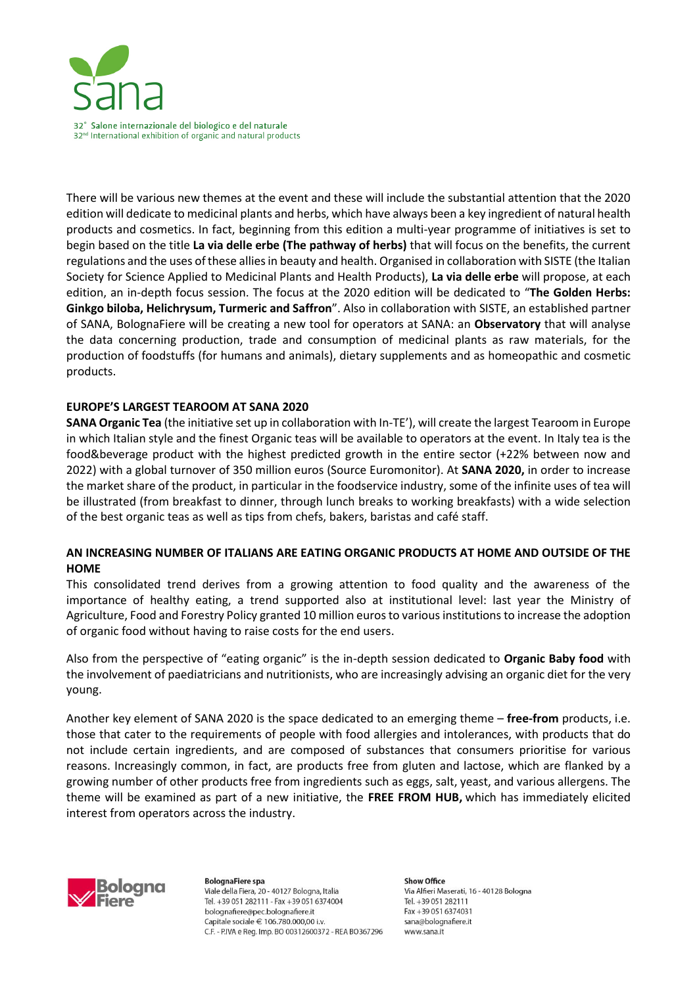

There will be various new themes at the event and these will include the substantial attention that the 2020 edition will dedicate to medicinal plants and herbs, which have always been a key ingredient of natural health products and cosmetics. In fact, beginning from this edition a multi-year programme of initiatives is set to begin based on the title **La via delle erbe (The pathway of herbs)** that will focus on the benefits, the current regulations and the uses of these allies in beauty and health. Organised in collaboration with SISTE (the Italian Society for Science Applied to Medicinal Plants and Health Products), **La via delle erbe** will propose, at each edition, an in-depth focus session. The focus at the 2020 edition will be dedicated to "**The Golden Herbs: Ginkgo biloba, Helichrysum, Turmeric and Saffron**". Also in collaboration with SISTE, an established partner of SANA, BolognaFiere will be creating a new tool for operators at SANA: an **Observatory** that will analyse the data concerning production, trade and consumption of medicinal plants as raw materials, for the production of foodstuffs (for humans and animals), dietary supplements and as homeopathic and cosmetic products.

# **EUROPE'S LARGEST TEAROOM AT SANA 2020**

**SANA Organic Tea** (the initiative set up in collaboration with In-TE'), will create the largest Tearoom in Europe in which Italian style and the finest Organic teas will be available to operators at the event. In Italy tea is the food&beverage product with the highest predicted growth in the entire sector (+22% between now and 2022) with a global turnover of 350 million euros (Source Euromonitor). At **SANA 2020,** in order to increase the market share of the product, in particular in the foodservice industry, some of the infinite uses of tea will be illustrated (from breakfast to dinner, through lunch breaks to working breakfasts) with a wide selection of the best organic teas as well as tips from chefs, bakers, baristas and café staff.

# **AN INCREASING NUMBER OF ITALIANS ARE EATING ORGANIC PRODUCTS AT HOME AND OUTSIDE OF THE HOME**

This consolidated trend derives from a growing attention to food quality and the awareness of the importance of healthy eating, a trend supported also at institutional level: last year the Ministry of Agriculture, Food and Forestry Policy granted 10 million euros to variousinstitutionsto increase the adoption of organic food without having to raise costs for the end users.

Also from the perspective of "eating organic" is the in-depth session dedicated to **Organic Baby food** with the involvement of paediatricians and nutritionists, who are increasingly advising an organic diet for the very young.

Another key element of SANA 2020 is the space dedicated to an emerging theme – **free-from** products, i.e. those that cater to the requirements of people with food allergies and intolerances, with products that do not include certain ingredients, and are composed of substances that consumers prioritise for various reasons. Increasingly common, in fact, are products free from gluten and lactose, which are flanked by a growing number of other products free from ingredients such as eggs, salt, yeast, and various allergens. The theme will be examined as part of a new initiative, the **FREE FROM HUB,** which has immediately elicited interest from operators across the industry.



**BolognaFiere spa** Viale della Fiera, 20 - 40127 Bologna, Italia Tel. +39 051 282111 - Fax +39 051 6374004 bolognafiere@pec.bolognafiere.it Capitale sociale € 106.780.000.00 i.v. C.F. - P.IVA e Rea. Imp. BO 00312600372 - REA BO367296

**Show Office** Via Alfieri Maserati, 16 - 40128 Bologna Tel. +39 051 282111 Fax +39 051 6374031 sana@bolognafiere.it www.sana.it